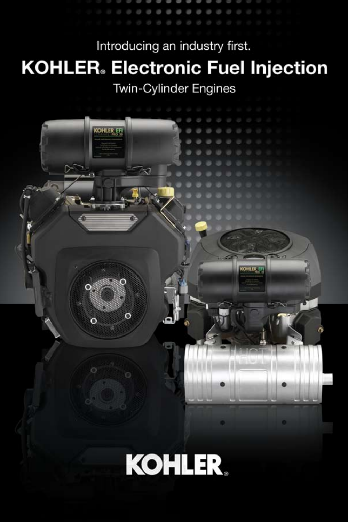Introducing an industry first. **KOHLER**. Electronic Fuel Injection Twin-Cylinder Engines